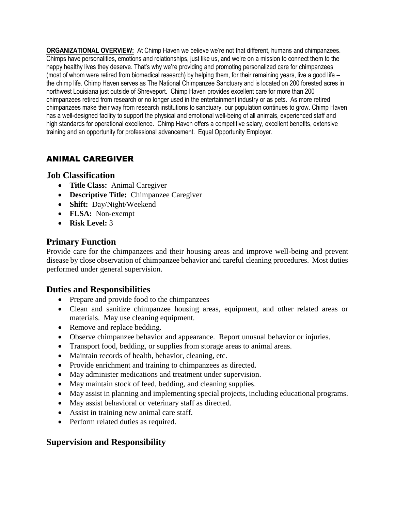**ORGANIZATIONAL OVERVIEW:** At Chimp Haven we believe we're not that different, humans and chimpanzees. Chimps have personalities, emotions and relationships, just like us, and we're on a mission to connect them to the happy healthy lives they deserve. That's why we're providing and promoting personalized care for chimpanzees (most of whom were retired from biomedical research) by helping them, for their remaining years, live a good life – the chimp life. Chimp Haven serves as The National Chimpanzee Sanctuary and is located on 200 forested acres in northwest Louisiana just outside of Shreveport. Chimp Haven provides excellent care for more than 200 chimpanzees retired from research or no longer used in the entertainment industry or as pets. As more retired chimpanzees make their way from research institutions to sanctuary, our population continues to grow. Chimp Haven has a well-designed facility to support the physical and emotional well-being of all animals, experienced staff and high standards for operational excellence. Chimp Haven offers a competitive salary, excellent benefits, extensive training and an opportunity for professional advancement. Equal Opportunity Employer.

# ANIMAL CAREGIVER

#### **Job Classification**

- **Title Class:** Animal Caregiver
- **Descriptive Title:** Chimpanzee Caregiver
- **Shift:** Day/Night/Weekend
- **FLSA:** Non-exempt
- **Risk Level:** 3

### **Primary Function**

Provide care for the chimpanzees and their housing areas and improve well-being and prevent disease by close observation of chimpanzee behavior and careful cleaning procedures. Most duties performed under general supervision.

#### **Duties and Responsibilities**

- Prepare and provide food to the chimpanzees
- Clean and sanitize chimpanzee housing areas, equipment, and other related areas or materials. May use cleaning equipment.
- Remove and replace bedding.
- Observe chimpanzee behavior and appearance. Report unusual behavior or injuries.
- Transport food, bedding, or supplies from storage areas to animal areas.
- Maintain records of health, behavior, cleaning, etc.
- Provide enrichment and training to chimpanzees as directed.
- May administer medications and treatment under supervision.
- May maintain stock of feed, bedding, and cleaning supplies.
- May assist in planning and implementing special projects, including educational programs.
- May assist behavioral or veterinary staff as directed.
- Assist in training new animal care staff.
- Perform related duties as required.

## **Supervision and Responsibility**